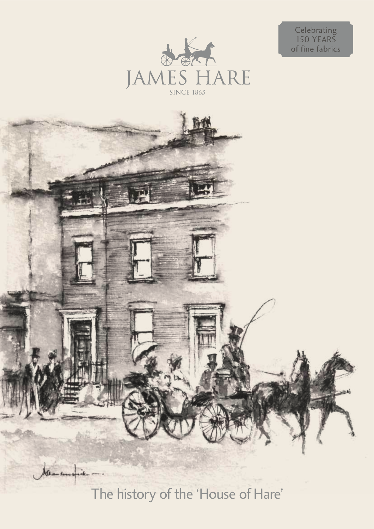

Celebrating<br>150 YEARS<br>of fine fabrics



The history of the 'House of Hare'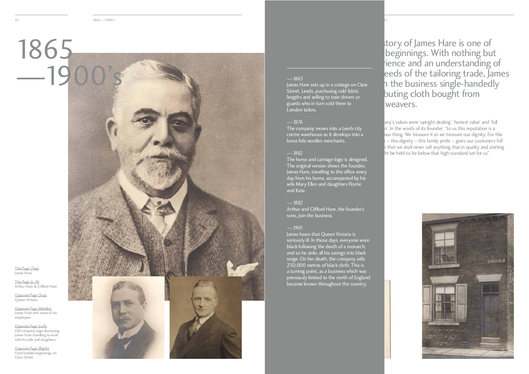

 $\frac{100}{3}$ 

This Page (Top)<br>Iomos Horo James Hare

This Lage (L–R)<br>Arthur Haro 8 C Arthur Hare & Clifford Hare

Opposite Lage (Top)<br>Opposite Lage (Top) Queen Victoria

Opposite Page (Left)<br>Old company logo illustrating James Hare travelling to work James Hare travelling to work with his wife and daughters

Opposite Page (Middle) James Hare with some of his employees

Opposite Page (Right) From humble beginnings on Clare Street

— 1865<br><u>James Har</u>e sets up in a cottage on Clare Street, Leeds, purchasing odd fabric lengths and selling to train drivers or lengths and selling to train drivers or guards who in turn sold them to London tailors.

dia 1900's and 1900's contract the contract of the contract of the contract of the contract of the contract of

*—1876* centre warehouse as it develops into a centre warehouse as it develops into a bona fide woollen merchants.

*—1882* The original version shows the founder, James Hare, travelling to the office every day from his home, accompanied by his day from his home, accompanied by his wife wiary Ellen and daughters Florrie and Kate.

*—1892* Arthur and Clifford Hare, the founder's sons, join the business.

*—1901* seriously ill. In those days, everyone wore black following the death of a monarch, and so he sinks all his savings into black serge. On her death, the company sells 250,000 metres of black cloth. This is a turning point, as a business which was previously limited to the north of England previously limited to the north of England became known throughout the country.

tory of James Hare is one of<br>beginnings. With nothing but rience and an understanding of eeds of the tailoring trade, James h the business single-handedly began the business single-handedly distributing cloth bought from  $\frac{1}{\sqrt{2}}$  weavers.

any's values were 'upright dealing', 'honest value' and 'full<br>n'. In the words of its founder, "to us this reputation is a ous thing. We treasure it as we treasure our dignity. For this  $v - t$ his dignity – this family pride – gives our customers full  $\epsilon$  that we shall never sell anything that in quality and sterling confidence that we shall never sell any thing that in quality and sterling word might be held to be below that high standard set for us.

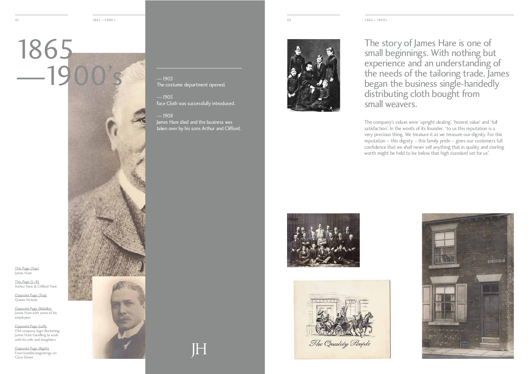This Page (Top)<br>Iomos Horo James Hare



This Lage (L–R)<br>Arthur Haro 8 C Arthur Hare & Clifford Hare

Opposite Lage (Top)<br>Opposite Lage (Top) Queen Victoria

Opposite Page (Left)<br>Old company logo illustrating James Hare travelling to work James Hare travelling to work with his wife and daughters

Opposite Page (Middle) James Hare with some of his employees

Opposite Page (Right) From humble beginnings on Clare Street



*—1903*

The story of James Hare is one of sman beginnings. With nothing but experience and an understanding of the needs of the tailoring trade, James began the business single-handedly distributing cioth bought from small weavers.

The company's values were 'upright dealing', 'honest value' and 'full satisfaction'. In the words of its founder, "to us this reputation is a very precious thing. We treasure it as we treasure our dignity. For this reputation – this dignity – this family pride – gives our customers full confidence that we shall never sell anything that in quality and sterling confidence that we shall never sell anything that in quality and sterling worth might be held to be below that high standard set for us.







*—1905* 

The costume department opened.

Face Cloth was successfully introduced.

*—1908* James Hare died and the business was taken over by his sons Arthur and Clifford.

I SI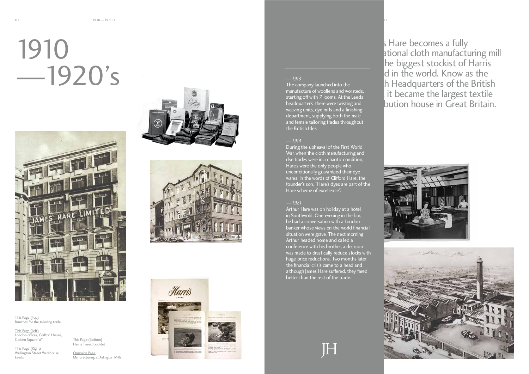$\overline{\phantom{a}}$  1910—1920's  $\overline{\phantom{a}}$ 

# $-19$



In Hare becomes a fully<br>ational cloth manufacturing mill he biggest stockist of Harris d in the world. Know as the In Headquarters of the British it became the largest textile Isles in became the largest textile<br>Islamination house in Great Britain distribution house in Great Britain.











The company launched into the<br>manufacture of woollens and worsteds. starting off with 7 looms. At the Leeds headquarters, there were twisting and weaving units, dye mills and a finishing department, supplying both the male department, supplying both the male and female tailoring trades throughout the British Isles.

This Lage (Top)<br>Punches for the Bunches for the tailoring trade

*—1914*  $W$ ar, when the cloth manufacturing and dye trades were in a chaotic condition, Hare's were the only people who unconditionally guaranteed their dye wares. In the words of Clifford Hare, the wares. In the words of Clifford Hare, the founder's son, "Hare's dyes are part of the Hare scheme of excellence".

This Page (Left)<br>London offices, Grafton House, London offices, Grafton House, Golden Square W1

This Lage (Right)<br>Wellington Stroot Wellington Street Warehouse, Leeds

This Lage (Bottom)<br>Harris Twood book! Harris Tweed booklet *—1921* in Southwold. One evening in the bar, he had a conversation with a London banker whose views on the world financial situation were grave. The next morning Arthur headed home and called a conference with his brother, a decision was made to drastically reduce stocks with huge price reductions. Two months later the financial crisis came to a head and although James Hare suffered, they fared although James Hare suffered, they fared better than the rest of the trade.

H



Opposite Page Manufacturing at Arlington Mills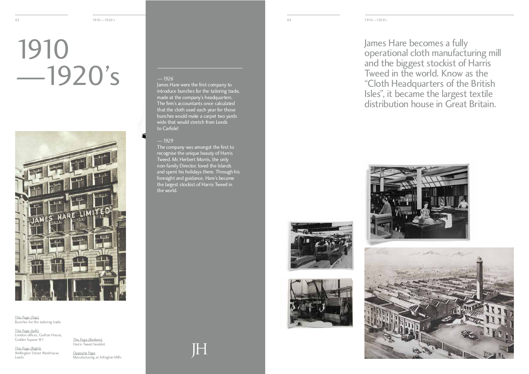## $-19$  $\overline{a}$



This Lage (Top)<br>Punches for the Bunches for the tailoring trade

This Page (Left)<br>London offices, Grafton House, London offices, Grafton House, Golden Square W1

This Lage (Right)<br>Wellington Stroot Wellington Street Warehouse, **Leeds** 

This Lage (Bottom)<br>Harris Twood book! Harris Tweed booklet

James Hare becomes a fully operational cloth manufacturing mill<br>and the higgest stockist of Harris Tweed in the world. Know as the "Cloth Headquarters of the British Isles", it became the largest textile Isles", it became the largest textile<br>distribution house in Great Rritain distribution house in Great Britain.





Opposite Page Manufacturing at Arlington Mills

*—1926*  introduce bunches for the tailoring trade, made at the company's headquarters. The firm's accountants once calculated that the cloth used each year for those bunches would make a carpet two yards bunches would make a carpet two yards wide that would stretch from Leeds to Carlisle!

*—1929* recognise the unique beauty of Harris Tweed. Mr. Herbert Morris, the only non-family Director, loved the Islands and spent his holidays there. Through his foresight and guidance, Hare's became foresignt and guidance, Hare's became the largest stockist of Harris Tweed in the world.

 $\|\hspace{-1.5pt} \|$ 



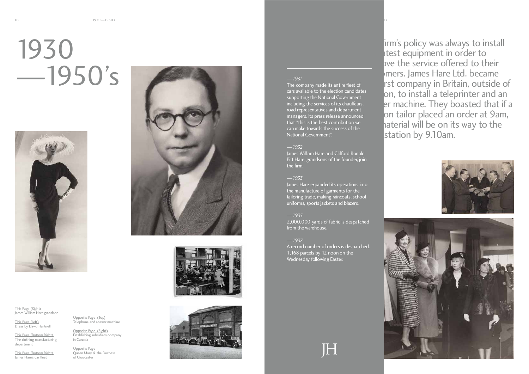$\frac{1}{2}$  1930—1930s  $\frac{1}{2}$  1930—1950s  $\frac{1}{2}$  1930 $\frac{1}{2}$  1930 $\frac{1}{2}$  1930 $\frac{1}{2}$  1930 $\frac{1}{2}$  1930 $\frac{1}{2}$  1930 $\frac{1}{2}$  1930 $\frac{1}{2}$  1930 $\frac{1}{2}$  1930 $\frac{1}{2}$  1930 $\frac{1}{2}$  1930 $\frac{1}{2}$  1930 $\frac{1}{2}$  1

## $-19$  $\overline{\phantom{a}}$



This Page (Right)<br>This Page (Right) James William Hare grandson

This Lage (Left)<br>Droce by David Dress by David Hartnell

This Page (Bottom Right) The clothing manufacturing department

This Page (Bottom Right) James Hare's car fleet

*—1935* 2,000,000 yards of fabric is despatched from the warehouse.

Opposite Page<br>Oueen Mary & the Duchess Queen Mary & the Duchess of Gloucester







*—1931* cars available to the election candidates supporting the National Government including the services of its chauffeurs, road representatives and department managers. Its press release announced that "this is the best contribution we can make towards the success of the can make towards the success of the National Government".

*—1932* James William Hare and Clifford Ronald<br>Diff Hare creadcons of the founder ion Pitt Hare, grandsons of the founder, join the firm.

*—1933* the manufacture of garments for the tailoring trade, making raincoats, school tailoring trade, making raincoats, school uniforms, sports jackets and blazers.

*—1937* 1,168 parcels by 12 noon on the 1,168 parcels by 12 noon on the Wednesday following Easter.

H

irm's policy was always to install<br>atest equipment in order to bye the service offered to their mers. James Hare Ltd. became rst company in Britain, outside of on, to install a teleprinter and an er machine. They boasted that if a on tailor placed an order at 9am, haterial will be on its way to the  $t_{\text{stat}}$  material will be on its way to the  $\frac{1}{\sqrt{2}}$ station by 9.10am.





Opposite Page (Top) Telephone and answer machine

Opposite Page (Right) Establishing subsidiary company in Canada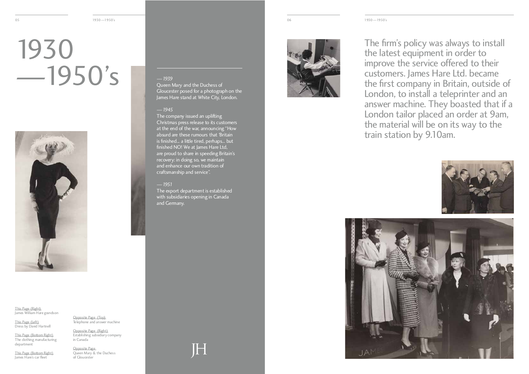# $-19$  $\overline{\phantom{a}}$



This Page (Right)<br>This Page (Right) James William Hare grandson

This Lage (Left)<br>Droce by David Dress by David Hartnell

This Page (Bottom Right) The clothing manufacturing department

This Page (Bottom Right) James Hare's car fleet

The firm's policy was always to install the latest equipment in order to improve the service offered to their customers. James Hare Ltd. became the first company in Britain, outside of London, to install a teleprinter and an answer machine. They boasted that if a London tailor placed an order at 9am, the material will be on its way to the the material will be on its way to the train station by 9.10am.





*—1939* Gloucester posed for a photograph on the Gioucester posed for a photograph on the James Hare stand at White City, London.

Opposite Page<br>Oueen Mary & the Duchess Queen Mary & the Duchess of Gloucester

*—1945* Christmas press release to its customers at the end of the war, announcing "How absurd are these rumours that 'Britain is finished... a little tired, perhaps... but finished NO! We at James Hare Ltd, are proud to share in speeding Britain's recovery: in doing so, we maintain and enhance our own tradition of and enhance our own tradition of craftsmanship and service".

*—1951* The export department is established with subsidiaries opening in Canada<br>and Carmany and Germany.

IH



Opposite Page (Top) Telephone and answer machine

Opposite Page (Right) Establishing subsidiary company in Canada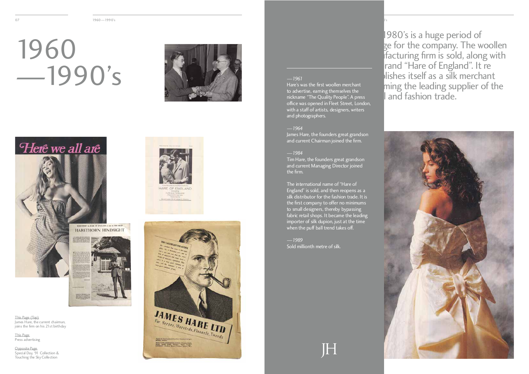07 1960 1990's 1990's 1990's 1990's 1990's 1990's 1990's 1990's 1990's 1990's 1990's 1990's 1990's 1990's 1990

## $-19<sup>o</sup>$  $\overline{1990}$







This Page (Top)<br>James Hare, the current chairman, James Hare, the current chairman, joins the firm on his 21st birthday

Opposite Page<br>Special Day, '91 Collection & Special Day, '91 Collection &<br>Touching the Sky Collection Touching the Sky Collection





This Page Press advertising

*—1961* to advertise, earning themselves the nickname "The Quality People". A press office was opened in Fleet Street, London, office was opened in Fleet Street, London, with a staff of artists, designers, writers and photographers.

رن<br>ان<sub>ت</sub> امام Sold millionth metre of silk. The 1980's is a huge period of se for the company. The woollen macturing firm is sold, along with  $blishes$  itself as a silk merchant. establishes itself as a silk incremant becoming the leading supplier of the and fashion trade.



*—1964* James Hare, the founders great grandson and current Chairman joined the firm.

*—1984* Tim Hare, the founders great grandson and current Managing Director joined the firm.

The international name of "Hare of<br>England" is sold, and then reopens as a silk distributor for the fashion trade. It is the first company to offer no minimums the first company to offer no minimums to small designers, thereby bypassing fabric retail shops. It became the leading<br>importer of silk dupion, just at the time importer of silk dupion, just at the time when the puff ball trend takes on.

H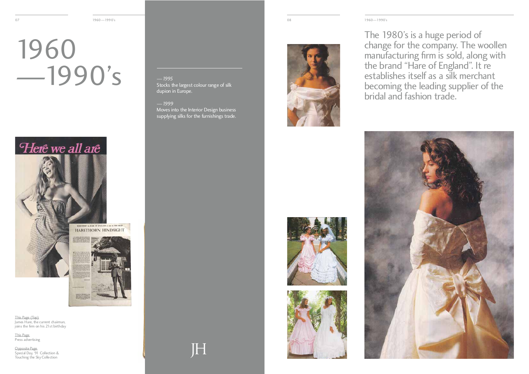# $-19<sup>o</sup>$  $\overline{1990}$



**HARETHORN HINDSIGHT** 



The 1980's is a huge period of change for the company. The woollen manufacturing firm is sold, along with<br>the brand "Hare of England" It re establishes itself as a silk merchant becoming the leading supplier of the becoming the leading supplier of the bridal and fashion trade.





This Page (Top)<br>James Hare, the current chairman, James Hare, the current chairman, joins the firm on his 21st birthday

Opposite Page<br>Special Day, '91 Collection & Special Day, '91 Collection &<br>Touching the Sky Collection Touching the Sky Collection

— 1999<br><u>Mov</u>es into the Interior Design business Moves into the Interior Design business supplying silks for the furnishings trade.

IH



This Page Press advertising

*—1995* Stocks the largest colour range of silk dupion in Europe.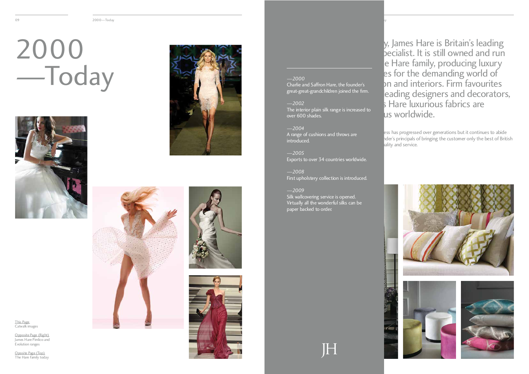$\mathcal{L}_{\text{2000}}$   $\mathcal{L}_{\text{2000}}$   $\mathcal{L}_{\text{2000}}$   $\mathcal{L}_{\text{2000}}$   $\mathcal{L}_{\text{2000}}$   $\mathcal{L}_{\text{2000}}$ 

## $2000$ —Today



mus Page<br>Catwalk ir Catwalk images

Opposite Page (Right)<br>James Hare Pimlico and James Hare Pimlico and Evolution ranges

Oposite Lage (Top)<br>The Hare Family too The Hare Family today







*—2000* Charlie and Saffron Hare, the founder's great-great-grandchildren joined the firm.

*—2002* The interior plain silk range is increased to over 600 shades.

*—2004* A range of cushions and throws are introduced.

*—2005* Exports to over 34 countries worldwide.

*—2008* First upholstery collection is introduced.

*—2009* Virtually all the wonderful silks can be Virtually all the wonderful silks can be paper backed to order.

H

y, James Hare is Britain's leading<br>becialist. It is still owned and run e Hare family, producing luxury es for the demanding world of on and interiors. Firm favourites eading designers and decorators,  $\frac{1}{2}$  Hare luxurious fabrics are Lus worldwide. **famous worldwide.** 

The business has progressed over generations but it continues to abide by its founder's principals of bringing the customer only the best of British ality and service.

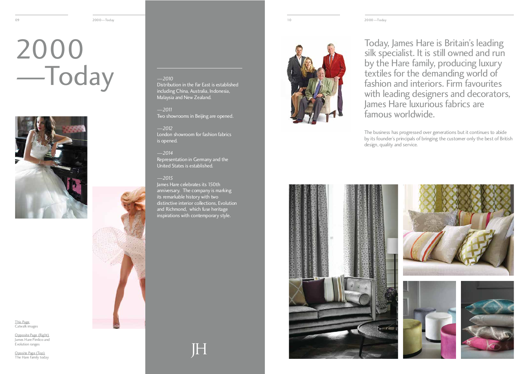Today, James Hare is Britain's leading<br>silk specialist. It is still owned and run by the Hare family, producing luxury textiles for the demanding world of fashion and interiors. Firm favourites with leading designers and decorators, James Hare luxurious fabrics are James Hare Tuxurious fabrics are famous worldwide.

The business has progressed over generations but it continues to abide by its founder's principals of bringing the customer only the best of British design, quality and service.



# $2000$ —Today



mus Page<br>Catwalk ir Catwalk images

Opposite Page (Right)<br>James Hare Pimlico and James Hare Pimlico and Evolution ranges

Oposite Lage (Top)<br>The Hare Family too The Hare Family today

*—2010* including China, Australia, Indonesia, including China, Australia, Indonesia, Malaysia and New Zealand.

*—2011* Two showrooms in Beijing are opened.

*—2012* London showroom for fashion fabrics is opened.

*—2014* Representation in Germany and the United States is established.

*—2015* anniversary. The company is marking  $\overline{\text{its remarkable history}}$  with two distinctive interior collections. Evolution and Richmond, which fuse heritage and Richmond, which fuse heritage inspirations with contemporary style.

H